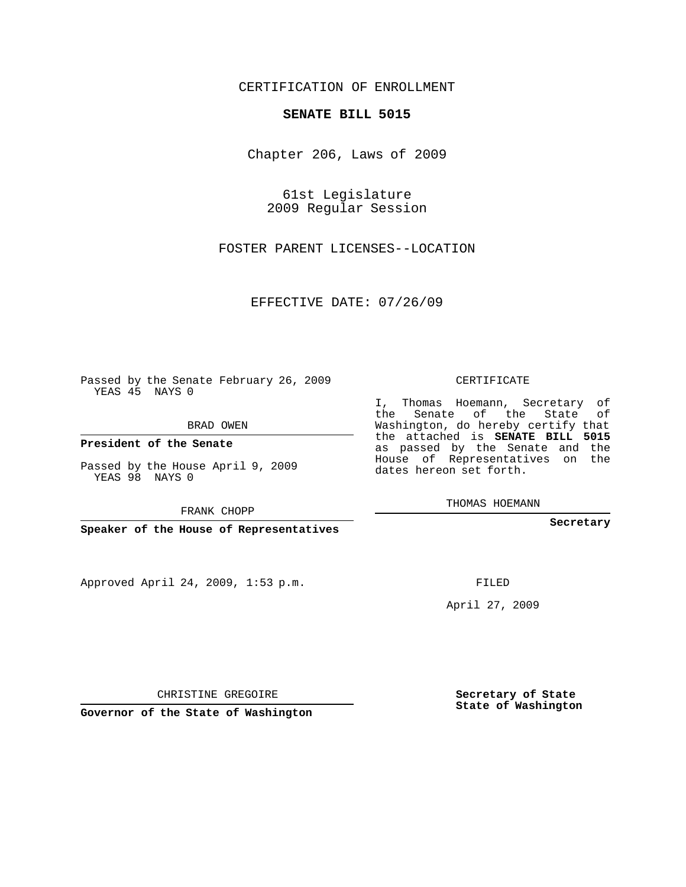## CERTIFICATION OF ENROLLMENT

## **SENATE BILL 5015**

Chapter 206, Laws of 2009

61st Legislature 2009 Regular Session

FOSTER PARENT LICENSES--LOCATION

EFFECTIVE DATE: 07/26/09

Passed by the Senate February 26, 2009 YEAS 45 NAYS 0

BRAD OWEN

**President of the Senate**

Passed by the House April 9, 2009 YEAS 98 NAYS 0

FRANK CHOPP

**Speaker of the House of Representatives**

Approved April 24, 2009, 1:53 p.m.

CERTIFICATE

I, Thomas Hoemann, Secretary of the Senate of the State of Washington, do hereby certify that the attached is **SENATE BILL 5015** as passed by the Senate and the House of Representatives on the dates hereon set forth.

THOMAS HOEMANN

**Secretary**

FILED

April 27, 2009

**Governor of the State of Washington**

CHRISTINE GREGOIRE

**Secretary of State State of Washington**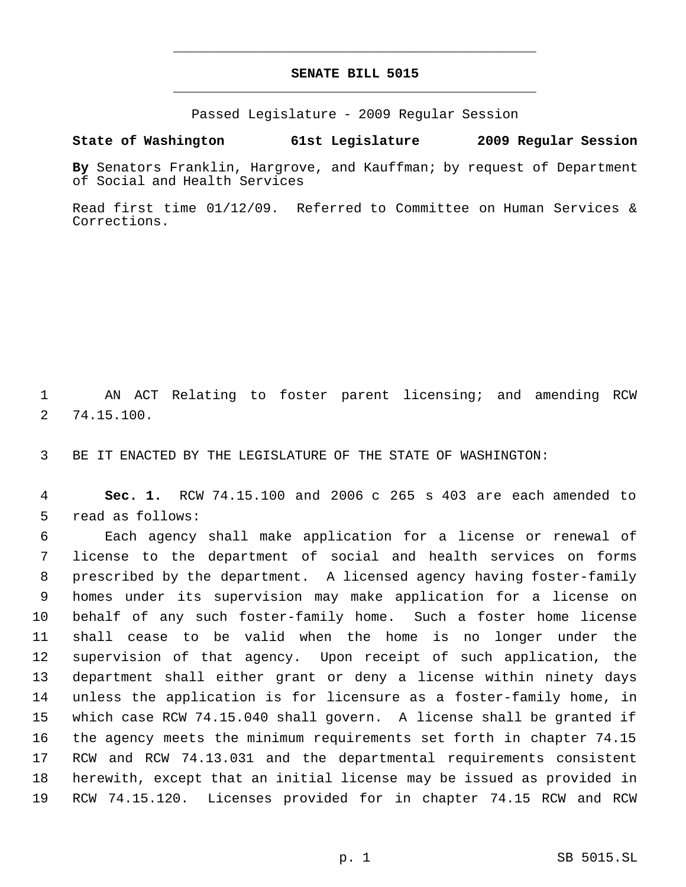## **SENATE BILL 5015** \_\_\_\_\_\_\_\_\_\_\_\_\_\_\_\_\_\_\_\_\_\_\_\_\_\_\_\_\_\_\_\_\_\_\_\_\_\_\_\_\_\_\_\_\_

\_\_\_\_\_\_\_\_\_\_\_\_\_\_\_\_\_\_\_\_\_\_\_\_\_\_\_\_\_\_\_\_\_\_\_\_\_\_\_\_\_\_\_\_\_

Passed Legislature - 2009 Regular Session

## **State of Washington 61st Legislature 2009 Regular Session**

**By** Senators Franklin, Hargrove, and Kauffman; by request of Department of Social and Health Services

Read first time 01/12/09. Referred to Committee on Human Services & Corrections.

 AN ACT Relating to foster parent licensing; and amending RCW 74.15.100.

BE IT ENACTED BY THE LEGISLATURE OF THE STATE OF WASHINGTON:

 **Sec. 1.** RCW 74.15.100 and 2006 c 265 s 403 are each amended to read as follows:

 Each agency shall make application for a license or renewal of license to the department of social and health services on forms prescribed by the department. A licensed agency having foster-family homes under its supervision may make application for a license on behalf of any such foster-family home. Such a foster home license shall cease to be valid when the home is no longer under the supervision of that agency. Upon receipt of such application, the department shall either grant or deny a license within ninety days unless the application is for licensure as a foster-family home, in which case RCW 74.15.040 shall govern. A license shall be granted if the agency meets the minimum requirements set forth in chapter 74.15 RCW and RCW 74.13.031 and the departmental requirements consistent herewith, except that an initial license may be issued as provided in RCW 74.15.120. Licenses provided for in chapter 74.15 RCW and RCW